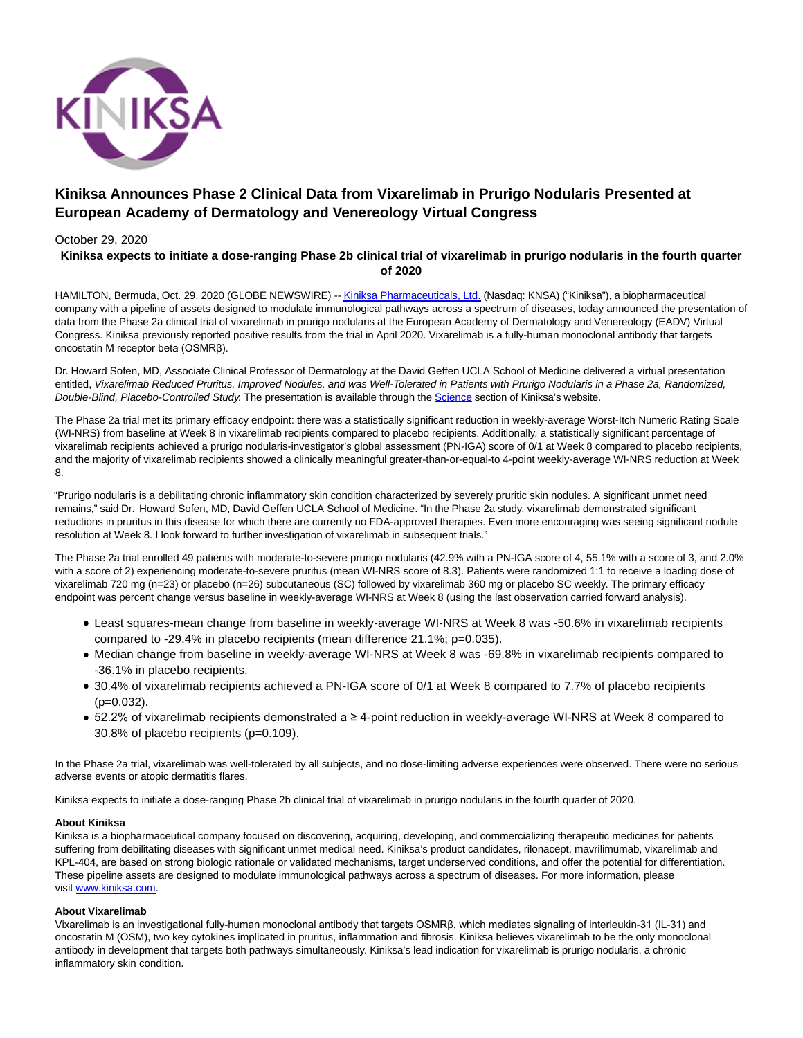

# **Kiniksa Announces Phase 2 Clinical Data from Vixarelimab in Prurigo Nodularis Presented at European Academy of Dermatology and Venereology Virtual Congress**

## October 29, 2020 **Kiniksa expects to initiate a dose-ranging Phase 2b clinical trial of vixarelimab in prurigo nodularis in the fourth quarter of 2020**

HAMILTON, Bermuda, Oct. 29, 2020 (GLOBE NEWSWIRE) -[- Kiniksa Pharmaceuticals, Ltd. \(](https://www.globenewswire.com/Tracker?data=Gslvsx2ugE6Fj1ySnCuC_M8QwWIfQDiSj9hS9tqpl3l3lSzFtxjVH6dhz4dkvh9OftbS7KleaNYee2w-uE0LsC61BmTxIHEKiK3nBBM59xo=)Nasdaq: KNSA) ("Kiniksa"), a biopharmaceutical company with a pipeline of assets designed to modulate immunological pathways across a spectrum of diseases, today announced the presentation of data from the Phase 2a clinical trial of vixarelimab in prurigo nodularis at the European Academy of Dermatology and Venereology (EADV) Virtual Congress. Kiniksa previously reported positive results from the trial in April 2020. Vixarelimab is a fully-human monoclonal antibody that targets oncostatin M receptor beta (OSMRβ).

Dr. Howard Sofen, MD, Associate Clinical Professor of Dermatology at the David Geffen UCLA School of Medicine delivered a virtual presentation entitled, Vixarelimab Reduced Pruritus, Improved Nodules, and was Well-Tolerated in Patients with Prurigo Nodularis in a Phase 2a, Randomized, Double-Blind, Placebo-Controlled Study. The presentation is available through the [Science s](https://www.globenewswire.com/Tracker?data=BpGu3WkrWh1KWHmrhFvz32cc9MnrTfRg4EVAobWEoXgiOug3KDHpsvy6zKkoodLr0WcvrAEdNgWRLgR90z0op5fTcqnq-kYRJwBr1qxlhG0=)ection of Kiniksa's website.

The Phase 2a trial met its primary efficacy endpoint: there was a statistically significant reduction in weekly-average Worst-Itch Numeric Rating Scale (WI-NRS) from baseline at Week 8 in vixarelimab recipients compared to placebo recipients. Additionally, a statistically significant percentage of vixarelimab recipients achieved a prurigo nodularis-investigator's global assessment (PN-IGA) score of 0/1 at Week 8 compared to placebo recipients, and the majority of vixarelimab recipients showed a clinically meaningful greater-than-or-equal-to 4-point weekly-average WI-NRS reduction at Week 8.

"Prurigo nodularis is a debilitating chronic inflammatory skin condition characterized by severely pruritic skin nodules. A significant unmet need remains," said Dr. Howard Sofen, MD, David Geffen UCLA School of Medicine. "In the Phase 2a study, vixarelimab demonstrated significant reductions in pruritus in this disease for which there are currently no FDA-approved therapies. Even more encouraging was seeing significant nodule resolution at Week 8. I look forward to further investigation of vixarelimab in subsequent trials."

The Phase 2a trial enrolled 49 patients with moderate-to-severe prurigo nodularis (42.9% with a PN-IGA score of 4, 55.1% with a score of 3, and 2.0% with a score of 2) experiencing moderate-to-severe pruritus (mean WI-NRS score of 8.3). Patients were randomized 1:1 to receive a loading dose of vixarelimab 720 mg (n=23) or placebo (n=26) subcutaneous (SC) followed by vixarelimab 360 mg or placebo SC weekly. The primary efficacy endpoint was percent change versus baseline in weekly-average WI-NRS at Week 8 (using the last observation carried forward analysis).

- Least squares-mean change from baseline in weekly-average WI-NRS at Week 8 was -50.6% in vixarelimab recipients compared to -29.4% in placebo recipients (mean difference 21.1%; p=0.035).
- Median change from baseline in weekly-average WI-NRS at Week 8 was -69.8% in vixarelimab recipients compared to -36.1% in placebo recipients.
- 30.4% of vixarelimab recipients achieved a PN-IGA score of 0/1 at Week 8 compared to 7.7% of placebo recipients  $(p=0.032)$ .
- 52.2% of vixarelimab recipients demonstrated a ≥ 4-point reduction in weekly-average WI-NRS at Week 8 compared to 30.8% of placebo recipients (p=0.109).

In the Phase 2a trial, vixarelimab was well-tolerated by all subjects, and no dose-limiting adverse experiences were observed. There were no serious adverse events or atopic dermatitis flares.

Kiniksa expects to initiate a dose-ranging Phase 2b clinical trial of vixarelimab in prurigo nodularis in the fourth quarter of 2020.

## **About Kiniksa**

Kiniksa is a biopharmaceutical company focused on discovering, acquiring, developing, and commercializing therapeutic medicines for patients suffering from debilitating diseases with significant unmet medical need. Kiniksa's product candidates, rilonacept, mavrilimumab, vixarelimab and KPL-404, are based on strong biologic rationale or validated mechanisms, target underserved conditions, and offer the potential for differentiation. These pipeline assets are designed to modulate immunological pathways across a spectrum of diseases. For more information, please visit [www.kiniksa.com.](https://www.globenewswire.com/Tracker?data=BA_TdWwU6MZfDH29hIdSkASRXbG96w52TFomkMoccDaBcKXfDDsogVGYknEg_ycTcrQxG_7ZzQo60djKeKymuw==)

## **About Vixarelimab**

Vixarelimab is an investigational fully-human monoclonal antibody that targets OSMRβ, which mediates signaling of interleukin-31 (IL-31) and oncostatin M (OSM), two key cytokines implicated in pruritus, inflammation and fibrosis. Kiniksa believes vixarelimab to be the only monoclonal antibody in development that targets both pathways simultaneously. Kiniksa's lead indication for vixarelimab is prurigo nodularis, a chronic inflammatory skin condition.